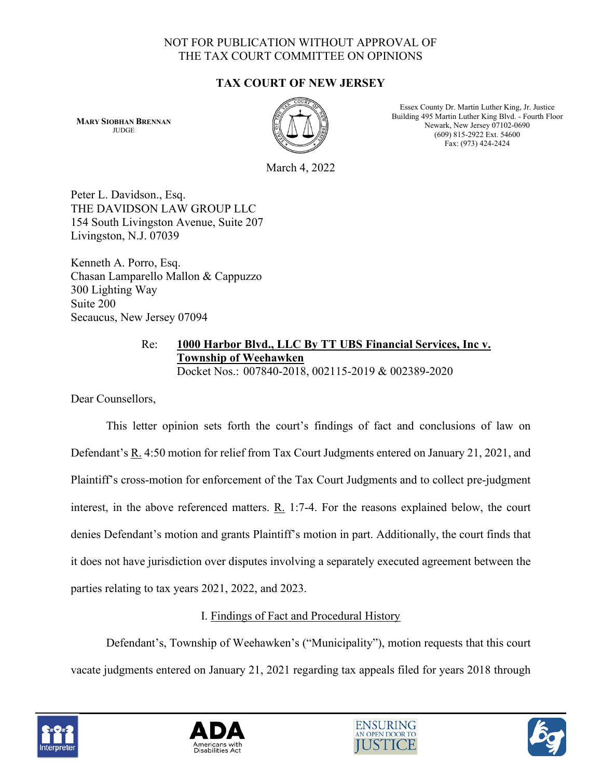# NOT FOR PUBLICATION WITHOUT APPROVAL OF THE TAX COURT COMMITTEE ON OPINIONS

# **TAX COURT OF NEW JERSEY**

**MARY SIOBHAN BRENNAN JUDGE** 



Essex County Dr. Martin Luther King, Jr. Justice Building 495 Martin Luther King Blvd. - Fourth Floor Newark, New Jersey 07102-0690 (609) 815-2922 Ext. 54600 Fax: (973) 424-2424

March 4, 2022

Peter L. Davidson., Esq. THE DAVIDSON LAW GROUP LLC 154 South Livingston Avenue, Suite 207 Livingston, N.J. 07039

Kenneth A. Porro, Esq. Chasan Lamparello Mallon & Cappuzzo 300 Lighting Way Suite 200 Secaucus, New Jersey 07094

# Re: **1000 Harbor Blvd., LLC By TT UBS Financial Services, Inc v. Township of Weehawken**

Docket Nos.: 007840-2018, 002115-2019 & 002389-2020

Dear Counsellors,

This letter opinion sets forth the court's findings of fact and conclusions of law on Defendant's R. 4:50 motion for relief from Tax Court Judgments entered on January 21, 2021, and Plaintiff's cross-motion for enforcement of the Tax Court Judgments and to collect pre-judgment interest, in the above referenced matters.  $R_1$  1:7-4. For the reasons explained below, the court denies Defendant's motion and grants Plaintiff's motion in part. Additionally, the court finds that it does not have jurisdiction over disputes involving a separately executed agreement between the parties relating to tax years 2021, 2022, and 2023.

# I. Findings of Fact and Procedural History

Defendant's, Township of Weehawken's ("Municipality"), motion requests that this court vacate judgments entered on January 21, 2021 regarding tax appeals filed for years 2018 through







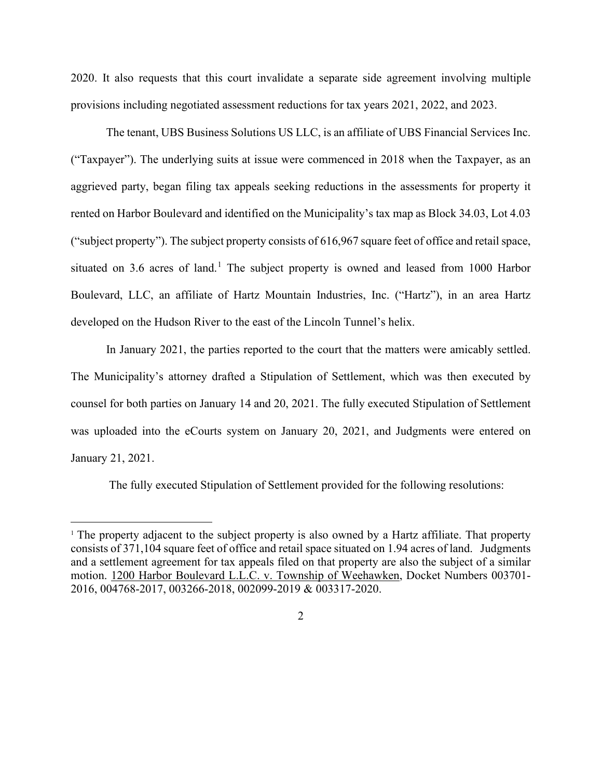2020. It also requests that this court invalidate a separate side agreement involving multiple provisions including negotiated assessment reductions for tax years 2021, 2022, and 2023.

The tenant, UBS Business Solutions US LLC, is an affiliate of UBS Financial Services Inc. ("Taxpayer"). The underlying suits at issue were commenced in 2018 when the Taxpayer, as an aggrieved party, began filing tax appeals seeking reductions in the assessments for property it rented on Harbor Boulevard and identified on the Municipality's tax map as Block 34.03, Lot 4.03 ("subject property"). The subject property consists of 616,967 square feet of office and retail space, situated on 3.6 acres of land.<sup>[1](#page-1-0)</sup> The subject property is owned and leased from 1000 Harbor Boulevard, LLC, an affiliate of Hartz Mountain Industries, Inc. ("Hartz"), in an area Hartz developed on the Hudson River to the east of the Lincoln Tunnel's helix.

In January 2021, the parties reported to the court that the matters were amicably settled. The Municipality's attorney drafted a Stipulation of Settlement, which was then executed by counsel for both parties on January 14 and 20, 2021. The fully executed Stipulation of Settlement was uploaded into the eCourts system on January 20, 2021, and Judgments were entered on January 21, 2021.

The fully executed Stipulation of Settlement provided for the following resolutions:

<span id="page-1-0"></span><sup>&</sup>lt;sup>1</sup> The property adjacent to the subject property is also owned by a Hartz affiliate. That property consists of 371,104 square feet of office and retail space situated on 1.94 acres of land. Judgments and a settlement agreement for tax appeals filed on that property are also the subject of a similar motion. 1200 Harbor Boulevard L.L.C. v. Township of Weehawken, Docket Numbers 003701- 2016, 004768-2017, 003266-2018, 002099-2019 & 003317-2020.

 $\mathcal{L}$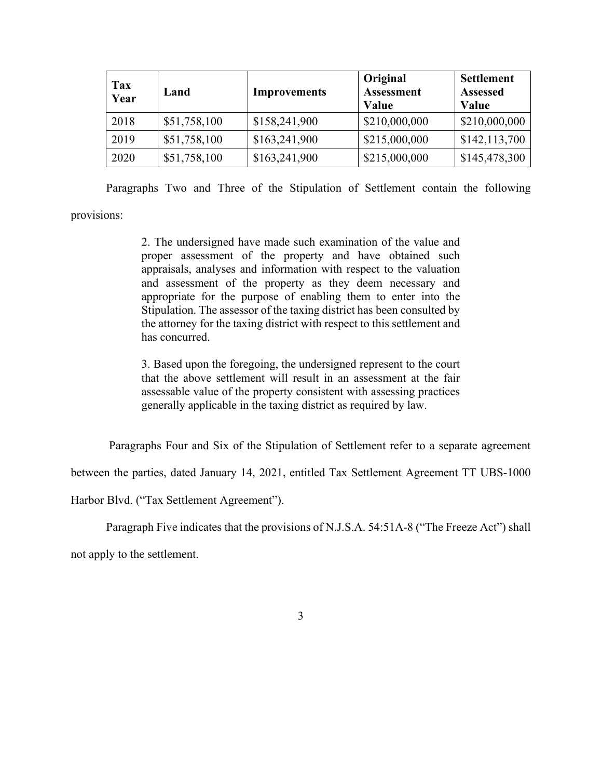| <b>Tax</b><br>Year | Land         | <b>Improvements</b> | Original<br><b>Assessment</b><br>Value | <b>Settlement</b><br><b>Assessed</b><br>Value |
|--------------------|--------------|---------------------|----------------------------------------|-----------------------------------------------|
| 2018               | \$51,758,100 | \$158,241,900       | \$210,000,000                          | \$210,000,000                                 |
| 2019               | \$51,758,100 | \$163,241,900       | \$215,000,000                          | \$142,113,700                                 |
| 2020               | \$51,758,100 | \$163,241,900       | \$215,000,000                          | \$145,478,300                                 |

Paragraphs Two and Three of the Stipulation of Settlement contain the following

provisions:

2. The undersigned have made such examination of the value and proper assessment of the property and have obtained such appraisals, analyses and information with respect to the valuation and assessment of the property as they deem necessary and appropriate for the purpose of enabling them to enter into the Stipulation. The assessor of the taxing district has been consulted by the attorney for the taxing district with respect to this settlement and has concurred.

3. Based upon the foregoing, the undersigned represent to the court that the above settlement will result in an assessment at the fair assessable value of the property consistent with assessing practices generally applicable in the taxing district as required by law.

Paragraphs Four and Six of the Stipulation of Settlement refer to a separate agreement

between the parties, dated January 14, 2021, entitled Tax Settlement Agreement TT UBS-1000

Harbor Blvd. ("Tax Settlement Agreement").

Paragraph Five indicates that the provisions of N.J.S.A. 54:51A-8 ("The Freeze Act") shall

not apply to the settlement.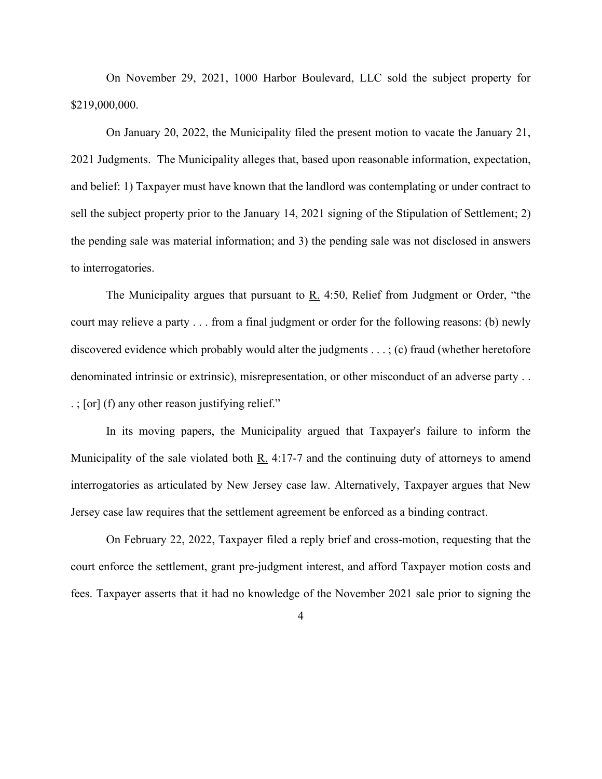On November 29, 2021, 1000 Harbor Boulevard, LLC sold the subject property for \$219,000,000.

On January 20, 2022, the Municipality filed the present motion to vacate the January 21, 2021 Judgments. The Municipality alleges that, based upon reasonable information, expectation, and belief: 1) Taxpayer must have known that the landlord was contemplating or under contract to sell the subject property prior to the January 14, 2021 signing of the Stipulation of Settlement; 2) the pending sale was material information; and 3) the pending sale was not disclosed in answers to interrogatories.

The Municipality argues that pursuant to R. 4:50, Relief from Judgment or Order, "the court may relieve a party . . . from a final judgment or order for the following reasons: (b) newly discovered evidence which probably would alter the judgments  $\dots$ ; (c) fraud (whether heretofore denominated intrinsic or extrinsic), misrepresentation, or other misconduct of an adverse party . . . ; [or] (f) any other reason justifying relief."

In its moving papers, the Municipality argued that Taxpayer's failure to inform the Municipality of the sale violated both  $\underline{R}$ . 4:17-7 and the continuing duty of attorneys to amend interrogatories as articulated by New Jersey case law. Alternatively, Taxpayer argues that New Jersey case law requires that the settlement agreement be enforced as a binding contract.

On February 22, 2022, Taxpayer filed a reply brief and cross-motion, requesting that the court enforce the settlement, grant pre-judgment interest, and afford Taxpayer motion costs and fees. Taxpayer asserts that it had no knowledge of the November 2021 sale prior to signing the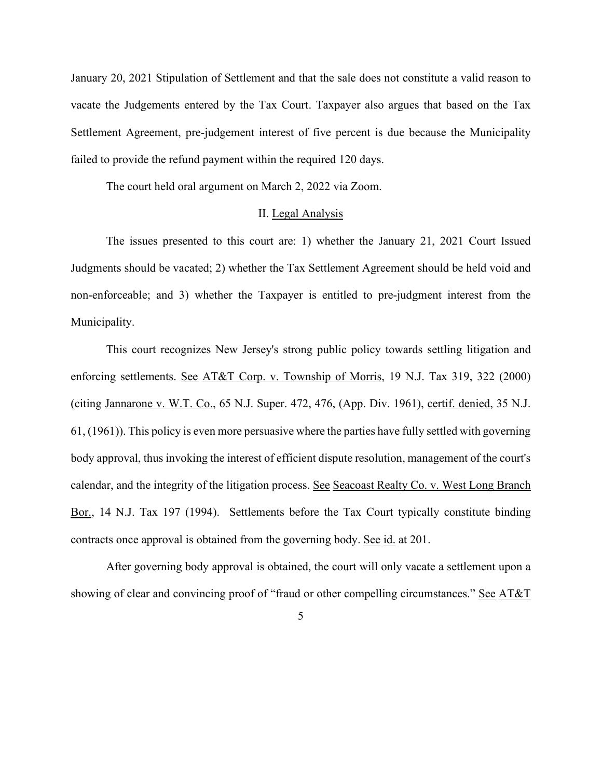January 20, 2021 Stipulation of Settlement and that the sale does not constitute a valid reason to vacate the Judgements entered by the Tax Court. Taxpayer also argues that based on the Tax Settlement Agreement, pre-judgement interest of five percent is due because the Municipality failed to provide the refund payment within the required 120 days.

The court held oral argument on March 2, 2022 via Zoom.

## II. Legal Analysis

The issues presented to this court are: 1) whether the January 21, 2021 Court Issued Judgments should be vacated; 2) whether the Tax Settlement Agreement should be held void and non-enforceable; and 3) whether the Taxpayer is entitled to pre-judgment interest from the Municipality.

This court recognizes New Jersey's strong public policy towards settling litigation and enforcing settlements. See AT&T Corp. v. Township of Morris, 19 N.J. Tax 319, 322 (2000) (citing Jannarone v. W.T. Co., 65 N.J. Super. 472, 476, (App. Div. 1961), certif. denied, 35 N.J. 61, (1961)). This policy is even more persuasive where the parties have fully settled with governing body approval, thus invoking the interest of efficient dispute resolution, management of the court's calendar, and the integrity of the litigation process. See Seacoast Realty Co. v. West Long Branch Bor., 14 N.J. Tax 197 (1994). Settlements before the Tax Court typically constitute binding contracts once approval is obtained from the governing body. See id. at 201.

After governing body approval is obtained, the court will only vacate a settlement upon a showing of clear and convincing proof of "fraud or other compelling circumstances." See AT&T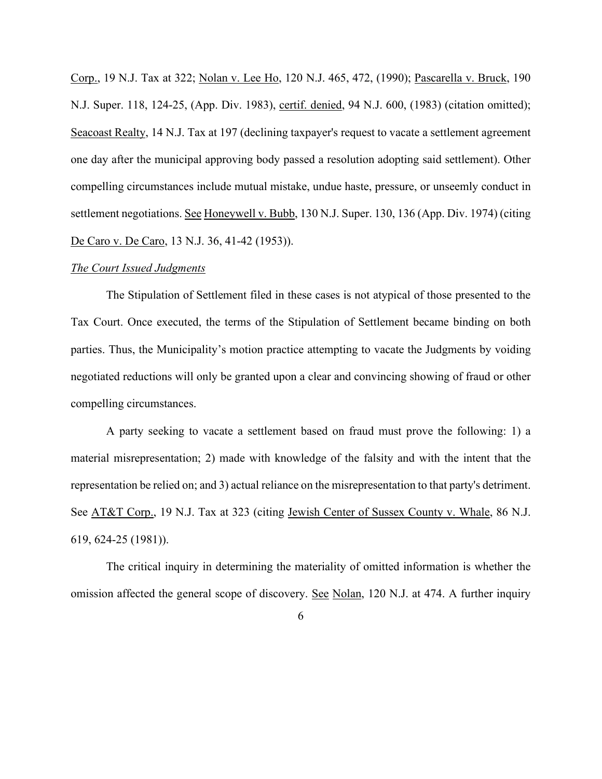Corp., 19 N.J. Tax at 322; Nolan v. Lee Ho, 120 N.J. 465, 472, (1990); Pascarella v. Bruck, 190 N.J. Super. 118, 124-25, (App. Div. 1983), certif. denied, 94 N.J. 600, (1983) (citation omitted); Seacoast Realty, 14 N.J. Tax at 197 (declining taxpayer's request to vacate a settlement agreement one day after the municipal approving body passed a resolution adopting said settlement). Other compelling circumstances include mutual mistake, undue haste, pressure, or unseemly conduct in settlement negotiations. See Honeywell v. Bubb, 130 N.J. Super. 130, 136 (App. Div. 1974) (citing De Caro v. De Caro, 13 N.J. 36, 41-42 (1953)).

#### *The Court Issued Judgments*

The Stipulation of Settlement filed in these cases is not atypical of those presented to the Tax Court. Once executed, the terms of the Stipulation of Settlement became binding on both parties. Thus, the Municipality's motion practice attempting to vacate the Judgments by voiding negotiated reductions will only be granted upon a clear and convincing showing of fraud or other compelling circumstances.

A party seeking to vacate a settlement based on fraud must prove the following: 1) a material misrepresentation; 2) made with knowledge of the falsity and with the intent that the representation be relied on; and 3) actual reliance on the misrepresentation to that party's detriment. See AT&T Corp., 19 N.J. Tax at 323 (citing Jewish Center of Sussex County v. Whale, 86 N.J. 619, 624-25 (1981)).

The critical inquiry in determining the materiality of omitted information is whether the omission affected the general scope of discovery. See Nolan, 120 N.J. at 474. A further inquiry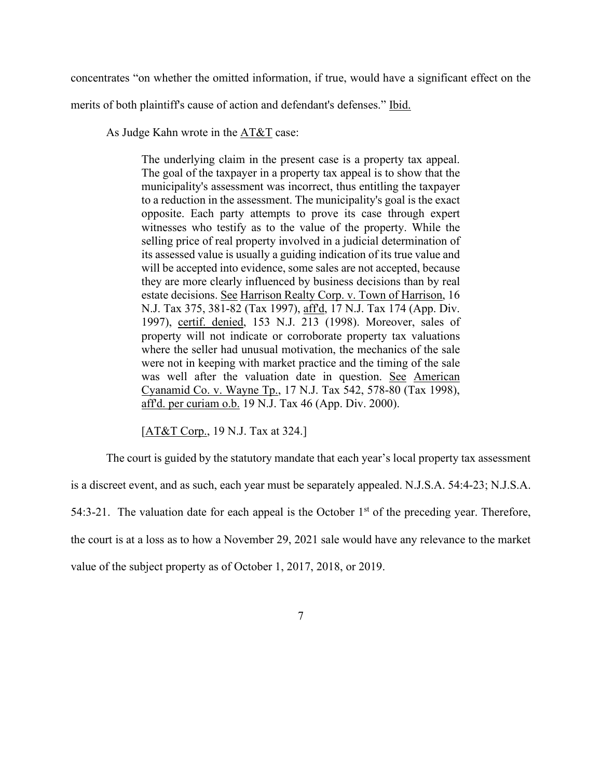concentrates "on whether the omitted information, if true, would have a significant effect on the

merits of both plaintiff's cause of action and defendant's defenses." Ibid.

As Judge Kahn wrote in the AT&T case:

The underlying claim in the present case is a property tax appeal. The goal of the taxpayer in a property tax appeal is to show that the municipality's assessment was incorrect, thus entitling the taxpayer to a reduction in the assessment. The municipality's goal is the exact opposite. Each party attempts to prove its case through expert witnesses who testify as to the value of the property. While the selling price of real property involved in a judicial determination of its assessed value is usually a guiding indication of its true value and will be accepted into evidence, some sales are not accepted, because they are more clearly influenced by business decisions than by real estate decisions. See Harrison Realty Corp. v. Town of Harrison, 16 N.J. Tax 375, 381-82 (Tax 1997), aff'd, 17 N.J. Tax 174 (App. Div. 1997), certif. denied, 153 N.J. 213 (1998). Moreover, sales of property will not indicate or corroborate property tax valuations where the seller had unusual motivation, the mechanics of the sale were not in keeping with market practice and the timing of the sale was well after the valuation date in question. See American Cyanamid Co. v. Wayne Tp., 17 N.J. Tax 542, 578-80 (Tax 1998), aff'd. per curiam o.b. 19 N.J. Tax 46 (App. Div. 2000).

[AT&T Corp., 19 N.J. Tax at 324.]

The court is guided by the statutory mandate that each year's local property tax assessment is a discreet event, and as such, each year must be separately appealed. N.J.S.A. 54:4-23; N.J.S.A. 54:3-21. The valuation date for each appeal is the October  $1<sup>st</sup>$  of the preceding year. Therefore, the court is at a loss as to how a November 29, 2021 sale would have any relevance to the market value of the subject property as of October 1, 2017, 2018, or 2019.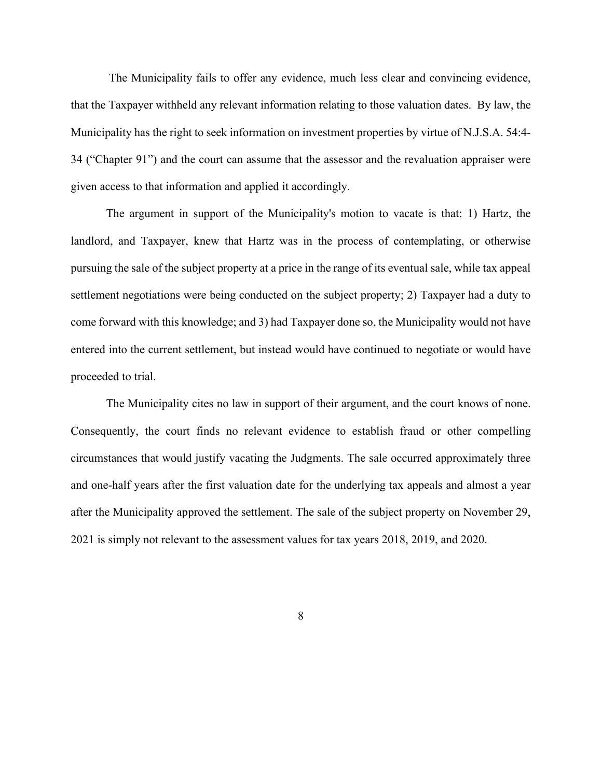The Municipality fails to offer any evidence, much less clear and convincing evidence, that the Taxpayer withheld any relevant information relating to those valuation dates. By law, the Municipality has the right to seek information on investment properties by virtue of N.J.S.A. 54:4- 34 ("Chapter 91") and the court can assume that the assessor and the revaluation appraiser were given access to that information and applied it accordingly.

The argument in support of the Municipality's motion to vacate is that: 1) Hartz, the landlord, and Taxpayer, knew that Hartz was in the process of contemplating, or otherwise pursuing the sale of the subject property at a price in the range of its eventual sale, while tax appeal settlement negotiations were being conducted on the subject property; 2) Taxpayer had a duty to come forward with this knowledge; and 3) had Taxpayer done so, the Municipality would not have entered into the current settlement, but instead would have continued to negotiate or would have proceeded to trial.

The Municipality cites no law in support of their argument, and the court knows of none. Consequently, the court finds no relevant evidence to establish fraud or other compelling circumstances that would justify vacating the Judgments. The sale occurred approximately three and one-half years after the first valuation date for the underlying tax appeals and almost a year after the Municipality approved the settlement. The sale of the subject property on November 29, 2021 is simply not relevant to the assessment values for tax years 2018, 2019, and 2020.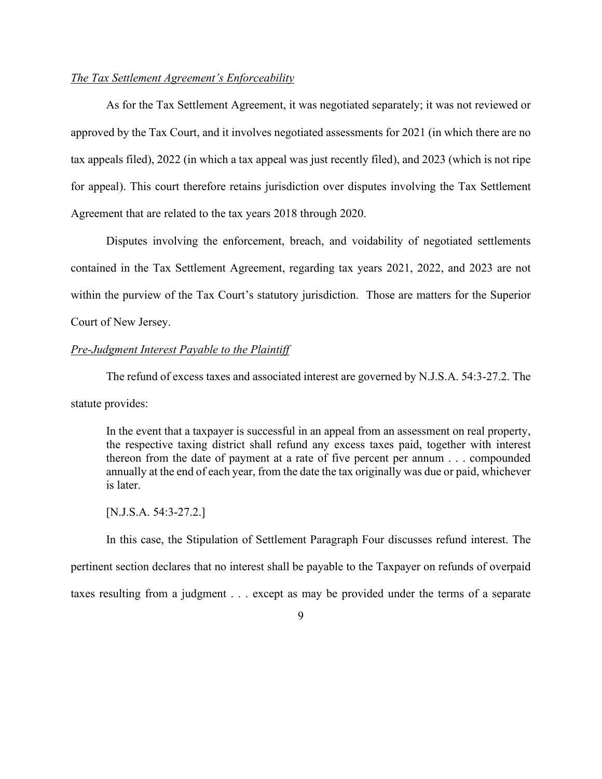## *The Tax Settlement Agreement's Enforceability*

As for the Tax Settlement Agreement, it was negotiated separately; it was not reviewed or approved by the Tax Court, and it involves negotiated assessments for 2021 (in which there are no tax appeals filed), 2022 (in which a tax appeal was just recently filed), and 2023 (which is not ripe for appeal). This court therefore retains jurisdiction over disputes involving the Tax Settlement Agreement that are related to the tax years 2018 through 2020.

Disputes involving the enforcement, breach, and voidability of negotiated settlements contained in the Tax Settlement Agreement, regarding tax years 2021, 2022, and 2023 are not within the purview of the Tax Court's statutory jurisdiction. Those are matters for the Superior Court of New Jersey.

## *Pre-Judgment Interest Payable to the Plaintiff*

The refund of excess taxes and associated interest are governed by N.J.S.A. 54:3-27.2. The statute provides:

In the event that a taxpayer is successful in an appeal from an assessment on real property, the respective taxing district shall refund any excess taxes paid, together with interest thereon from the date of payment at a rate of five percent per annum . . . compounded annually at the end of each year, from the date the tax originally was due or paid, whichever is later.

#### [N.J.S.A. 54:3-27.2.]

In this case, the Stipulation of Settlement Paragraph Four discusses refund interest. The pertinent section declares that no interest shall be payable to the Taxpayer on refunds of overpaid taxes resulting from a judgment . . . except as may be provided under the terms of a separate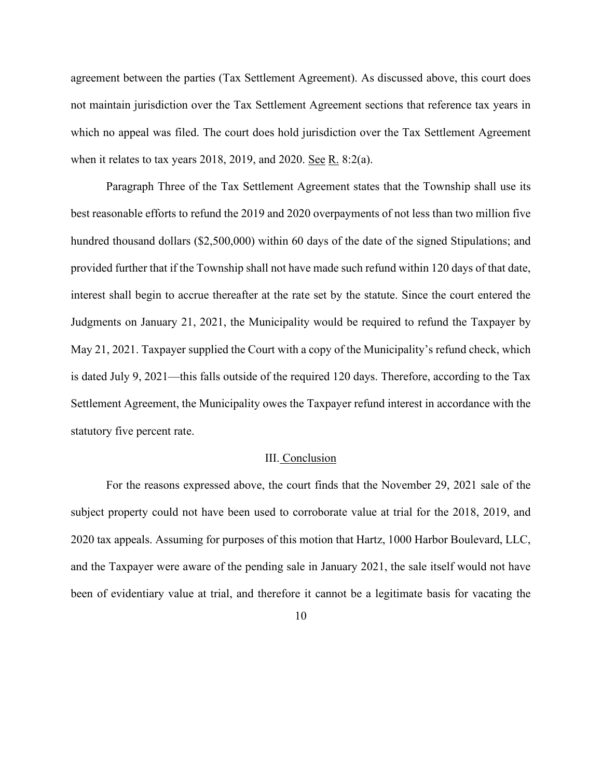agreement between the parties (Tax Settlement Agreement). As discussed above, this court does not maintain jurisdiction over the Tax Settlement Agreement sections that reference tax years in which no appeal was filed. The court does hold jurisdiction over the Tax Settlement Agreement when it relates to tax years 2018, 2019, and 2020. See R. 8:2(a).

Paragraph Three of the Tax Settlement Agreement states that the Township shall use its best reasonable efforts to refund the 2019 and 2020 overpayments of not less than two million five hundred thousand dollars (\$2,500,000) within 60 days of the date of the signed Stipulations; and provided further that if the Township shall not have made such refund within 120 days of that date, interest shall begin to accrue thereafter at the rate set by the statute. Since the court entered the Judgments on January 21, 2021, the Municipality would be required to refund the Taxpayer by May 21, 2021. Taxpayer supplied the Court with a copy of the Municipality's refund check, which is dated July 9, 2021—this falls outside of the required 120 days. Therefore, according to the Tax Settlement Agreement, the Municipality owes the Taxpayer refund interest in accordance with the statutory five percent rate.

### III. Conclusion

For the reasons expressed above, the court finds that the November 29, 2021 sale of the subject property could not have been used to corroborate value at trial for the 2018, 2019, and 2020 tax appeals. Assuming for purposes of this motion that Hartz, 1000 Harbor Boulevard, LLC, and the Taxpayer were aware of the pending sale in January 2021, the sale itself would not have been of evidentiary value at trial, and therefore it cannot be a legitimate basis for vacating the